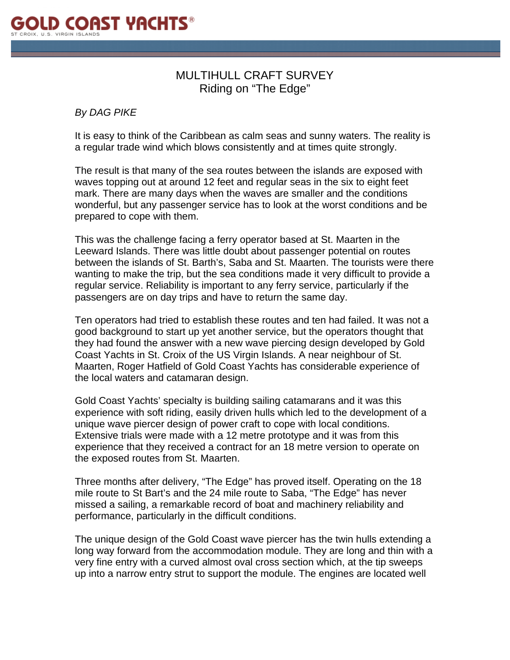

## MULTIHULL CRAFT SURVEY Riding on "The Edge"

*By DAG PIKE* 

It is easy to think of the Caribbean as calm seas and sunny waters. The reality is a regular trade wind which blows consistently and at times quite strongly.

The result is that many of the sea routes between the islands are exposed with waves topping out at around 12 feet and regular seas in the six to eight feet mark. There are many days when the waves are smaller and the conditions wonderful, but any passenger service has to look at the worst conditions and be prepared to cope with them.

This was the challenge facing a ferry operator based at St. Maarten in the Leeward Islands. There was little doubt about passenger potential on routes between the islands of St. Barth's, Saba and St. Maarten. The tourists were there wanting to make the trip, but the sea conditions made it very difficult to provide a regular service. Reliability is important to any ferry service, particularly if the passengers are on day trips and have to return the same day.

Ten operators had tried to establish these routes and ten had failed. It was not a good background to start up yet another service, but the operators thought that they had found the answer with a new wave piercing design developed by Gold Coast Yachts in St. Croix of the US Virgin Islands. A near neighbour of St. Maarten, Roger Hatfield of Gold Coast Yachts has considerable experience of the local waters and catamaran design.

Gold Coast Yachts' specialty is building sailing catamarans and it was this experience with soft riding, easily driven hulls which led to the development of a unique wave piercer design of power craft to cope with local conditions. Extensive trials were made with a 12 metre prototype and it was from this experience that they received a contract for an 18 metre version to operate on the exposed routes from St. Maarten.

Three months after delivery, "The Edge" has proved itself. Operating on the 18 mile route to St Bart's and the 24 mile route to Saba, "The Edge" has never missed a sailing, a remarkable record of boat and machinery reliability and performance, particularly in the difficult conditions.

The unique design of the Gold Coast wave piercer has the twin hulls extending a long way forward from the accommodation module. They are long and thin with a very fine entry with a curved almost oval cross section which, at the tip sweeps up into a narrow entry strut to support the module. The engines are located well